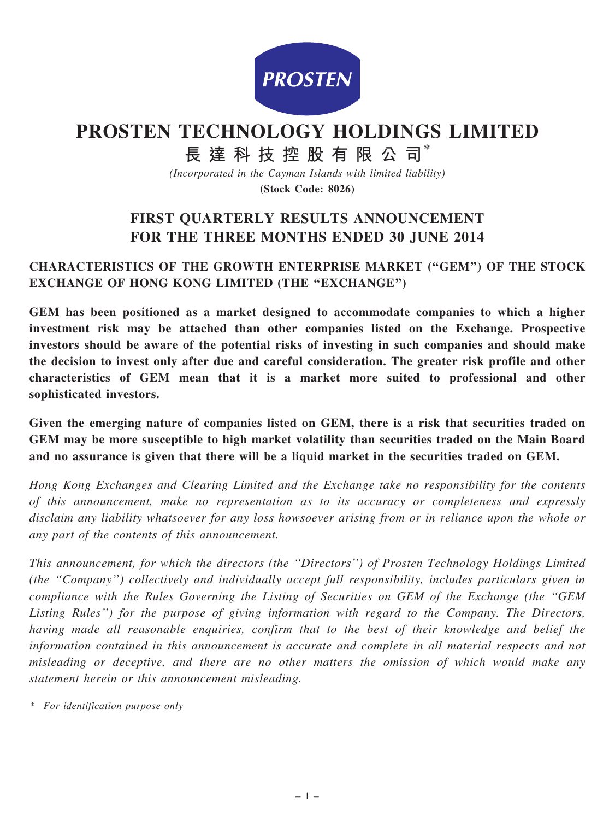

# PROSTEN TECHNOLOGY HOLDINGS LIMITED

# 長 達 科 技 控 股 有 限 公 司\*

(Incorporated in the Cayman Islands with limited liability)

(Stock Code: 8026)

# FIRST QUARTERLY RESULTS ANNOUNCEMENT FOR THE THREE MONTHS ENDED 30 JUNE 2014

## CHARACTERISTICS OF THE GROWTH ENTERPRISE MARKET (''GEM'') OF THE STOCK EXCHANGE OF HONG KONG LIMITED (THE "EXCHANGE")

GEM has been positioned as a market designed to accommodate companies to which a higher investment risk may be attached than other companies listed on the Exchange. Prospective investors should be aware of the potential risks of investing in such companies and should make the decision to invest only after due and careful consideration. The greater risk profile and other characteristics of GEM mean that it is a market more suited to professional and other sophisticated investors.

Given the emerging nature of companies listed on GEM, there is a risk that securities traded on GEM may be more susceptible to high market volatility than securities traded on the Main Board and no assurance is given that there will be a liquid market in the securities traded on GEM.

Hong Kong Exchanges and Clearing Limited and the Exchange take no responsibility for the contents of this announcement, make no representation as to its accuracy or completeness and expressly disclaim any liability whatsoever for any loss howsoever arising from or in reliance upon the whole or any part of the contents of this announcement.

This announcement, for which the directors (the ''Directors'') of Prosten Technology Holdings Limited (the ''Company'') collectively and individually accept full responsibility, includes particulars given in compliance with the Rules Governing the Listing of Securities on GEM of the Exchange (the ''GEM Listing Rules'') for the purpose of giving information with regard to the Company. The Directors, having made all reasonable enquiries, confirm that to the best of their knowledge and belief the information contained in this announcement is accurate and complete in all material respects and not misleading or deceptive, and there are no other matters the omission of which would make any statement herein or this announcement misleading.

\* For identification purpose only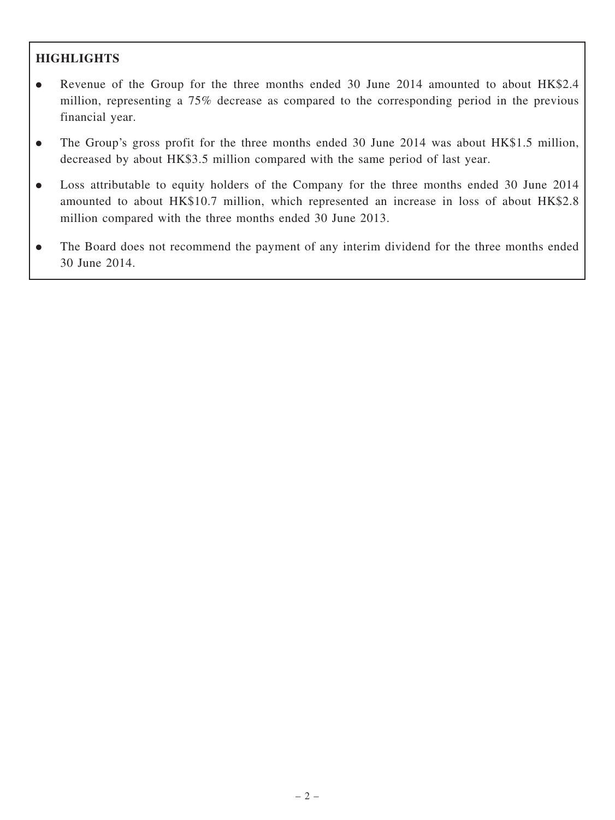## **HIGHLIGHTS**

- Revenue of the Group for the three months ended 30 June 2014 amounted to about HK\$2.4 million, representing a 75% decrease as compared to the corresponding period in the previous financial year.
- . The Group's gross profit for the three months ended 30 June 2014 was about HK\$1.5 million, decreased by about HK\$3.5 million compared with the same period of last year.
- . Loss attributable to equity holders of the Company for the three months ended 30 June 2014 amounted to about HK\$10.7 million, which represented an increase in loss of about HK\$2.8 million compared with the three months ended 30 June 2013.
- . The Board does not recommend the payment of any interim dividend for the three months ended 30 June 2014.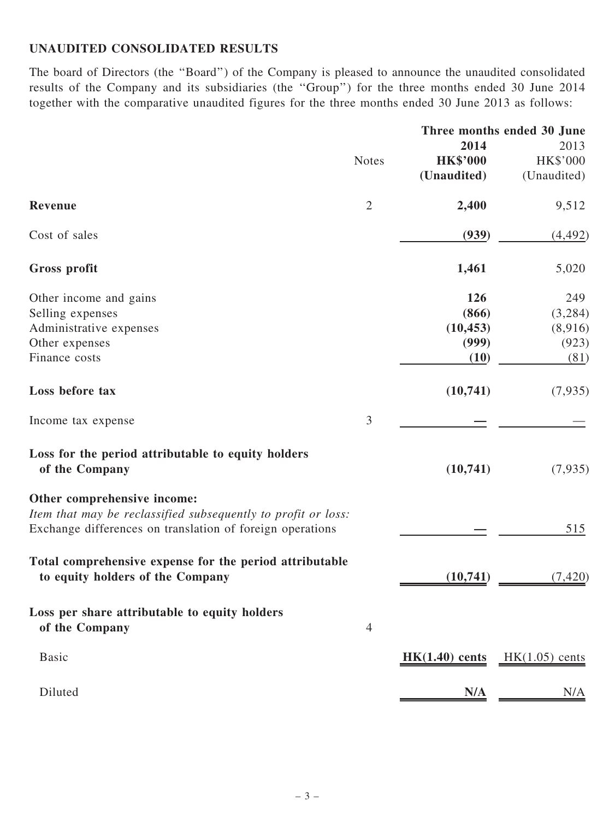# UNAUDITED CONSOLIDATED RESULTS

The board of Directors (the ''Board'') of the Company is pleased to announce the unaudited consolidated results of the Company and its subsidiaries (the ''Group'') for the three months ended 30 June 2014 together with the comparative unaudited figures for the three months ended 30 June 2013 as follows:

|                                                                                                                                                           |                |                  | Three months ended 30 June |  |  |
|-----------------------------------------------------------------------------------------------------------------------------------------------------------|----------------|------------------|----------------------------|--|--|
|                                                                                                                                                           |                | 2014             | 2013                       |  |  |
|                                                                                                                                                           | <b>Notes</b>   | <b>HK\$'000</b>  | HK\$'000                   |  |  |
|                                                                                                                                                           |                | (Unaudited)      | (Unaudited)                |  |  |
| Revenue                                                                                                                                                   | $\overline{2}$ | 2,400            | 9,512                      |  |  |
| Cost of sales                                                                                                                                             |                | (939)            | (4, 492)                   |  |  |
| Gross profit                                                                                                                                              |                | 1,461            | 5,020                      |  |  |
| Other income and gains                                                                                                                                    |                | 126              | 249                        |  |  |
| Selling expenses                                                                                                                                          |                | (866)            | (3,284)                    |  |  |
| Administrative expenses                                                                                                                                   |                | (10, 453)        | (8,916)                    |  |  |
| Other expenses                                                                                                                                            |                | (999)            | (923)                      |  |  |
| Finance costs                                                                                                                                             |                | (10)             | (81)                       |  |  |
| Loss before tax                                                                                                                                           |                | (10, 741)        | (7,935)                    |  |  |
| Income tax expense                                                                                                                                        | $\mathfrak{Z}$ |                  |                            |  |  |
| Loss for the period attributable to equity holders<br>of the Company                                                                                      |                | (10, 741)        | (7,935)                    |  |  |
| Other comprehensive income:<br>Item that may be reclassified subsequently to profit or loss:<br>Exchange differences on translation of foreign operations |                |                  | 515                        |  |  |
| Total comprehensive expense for the period attributable<br>to equity holders of the Company                                                               |                | (10, 741)        | (7, 420)                   |  |  |
| Loss per share attributable to equity holders<br>of the Company                                                                                           | $\overline{4}$ |                  |                            |  |  |
| <b>Basic</b>                                                                                                                                              |                | $HK(1.40)$ cents | $HK(1.05)$ cents           |  |  |
| Diluted                                                                                                                                                   |                | N/A              | N/A                        |  |  |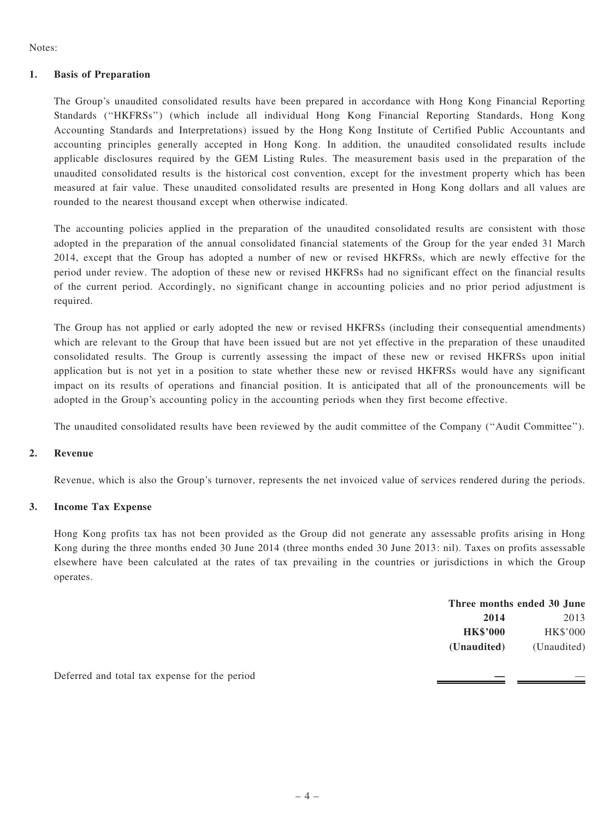Notes:

#### 1. Basis of Preparation

The Group's unaudited consolidated results have been prepared in accordance with Hong Kong Financial Reporting Standards (''HKFRSs'') (which include all individual Hong Kong Financial Reporting Standards, Hong Kong Accounting Standards and Interpretations) issued by the Hong Kong Institute of Certified Public Accountants and accounting principles generally accepted in Hong Kong. In addition, the unaudited consolidated results include applicable disclosures required by the GEM Listing Rules. The measurement basis used in the preparation of the unaudited consolidated results is the historical cost convention, except for the investment property which has been measured at fair value. These unaudited consolidated results are presented in Hong Kong dollars and all values are rounded to the nearest thousand except when otherwise indicated.

The accounting policies applied in the preparation of the unaudited consolidated results are consistent with those adopted in the preparation of the annual consolidated financial statements of the Group for the year ended 31 March 2014, except that the Group has adopted a number of new or revised HKFRSs, which are newly effective for the period under review. The adoption of these new or revised HKFRSs had no significant effect on the financial results of the current period. Accordingly, no significant change in accounting policies and no prior period adjustment is required.

The Group has not applied or early adopted the new or revised HKFRSs (including their consequential amendments) which are relevant to the Group that have been issued but are not yet effective in the preparation of these unaudited consolidated results. The Group is currently assessing the impact of these new or revised HKFRSs upon initial application but is not yet in a position to state whether these new or revised HKFRSs would have any significant impact on its results of operations and financial position. It is anticipated that all of the pronouncements will be adopted in the Group's accounting policy in the accounting periods when they first become effective.

The unaudited consolidated results have been reviewed by the audit committee of the Company (''Audit Committee'').

#### 2. Revenue

Revenue, which is also the Group's turnover, represents the net invoiced value of services rendered during the periods.

#### 3. Income Tax Expense

Hong Kong profits tax has not been provided as the Group did not generate any assessable profits arising in Hong Kong during the three months ended 30 June 2014 (three months ended 30 June 2013: nil). Taxes on profits assessable elsewhere have been calculated at the rates of tax prevailing in the countries or jurisdictions in which the Group operates.

|                                               | Three months ended 30 June |             |  |
|-----------------------------------------------|----------------------------|-------------|--|
|                                               | 2014                       | 2013        |  |
|                                               | <b>HK\$'000</b>            | HK\$'000    |  |
|                                               | (Unaudited)                | (Unaudited) |  |
| Deferred and total tax expense for the period |                            |             |  |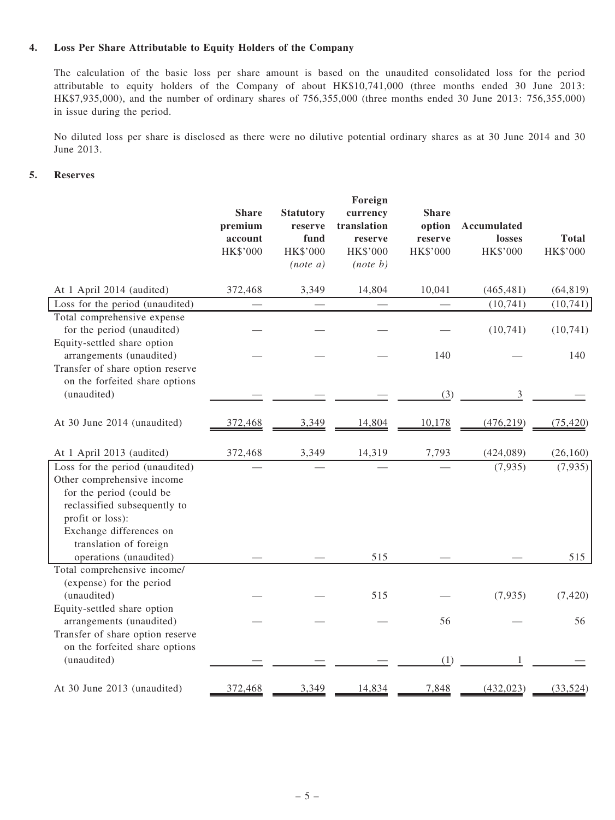#### 4. Loss Per Share Attributable to Equity Holders of the Company

The calculation of the basic loss per share amount is based on the unaudited consolidated loss for the period attributable to equity holders of the Company of about HK\$10,741,000 (three months ended 30 June 2013: HK\$7,935,000), and the number of ordinary shares of 756,355,000 (three months ended 30 June 2013: 756,355,000) in issue during the period.

No diluted loss per share is disclosed as there were no dilutive potential ordinary shares as at 30 June 2014 and 30 June 2013.

#### 5. Reserves

|                                                                                                                                                                          | <b>Share</b><br>premium<br>account<br>HK\$'000 | <b>Statutory</b><br>reserve<br>fund<br>HK\$'000<br>$(note\ a)$ | Foreign<br>currency<br>translation<br>reserve<br>HK\$'000<br>$(note\ b)$ | <b>Share</b><br>option<br>reserve<br>HK\$'000 | <b>Accumulated</b><br>losses<br>HK\$'000 | <b>Total</b><br>HK\$'000 |
|--------------------------------------------------------------------------------------------------------------------------------------------------------------------------|------------------------------------------------|----------------------------------------------------------------|--------------------------------------------------------------------------|-----------------------------------------------|------------------------------------------|--------------------------|
| At 1 April 2014 (audited)                                                                                                                                                | 372,468                                        | 3,349                                                          | 14,804                                                                   | 10,041                                        | (465, 481)                               | (64, 819)                |
| Loss for the period (unaudited)                                                                                                                                          |                                                |                                                                |                                                                          |                                               | (10, 741)                                | (10, 741)                |
| Total comprehensive expense<br>for the period (unaudited)<br>Equity-settled share option                                                                                 |                                                |                                                                |                                                                          |                                               | (10, 741)                                | (10,741)                 |
| arrangements (unaudited)<br>Transfer of share option reserve                                                                                                             |                                                |                                                                |                                                                          | 140                                           |                                          | 140                      |
| on the forfeited share options<br>(unaudited)                                                                                                                            |                                                |                                                                |                                                                          | (3)                                           | 3                                        |                          |
| At 30 June 2014 (unaudited)                                                                                                                                              | 372,468                                        | 3,349                                                          | 14,804                                                                   | 10,178                                        | (476, 219)                               | (75, 420)                |
| At 1 April 2013 (audited)                                                                                                                                                | 372,468                                        | 3,349                                                          | 14,319                                                                   | 7,793                                         | (424, 089)                               | (26, 160)                |
| Loss for the period (unaudited)<br>Other comprehensive income<br>for the period (could be<br>reclassified subsequently to<br>profit or loss):<br>Exchange differences on |                                                |                                                                |                                                                          |                                               | (7, 935)                                 | (7, 935)                 |
| translation of foreign<br>operations (unaudited)                                                                                                                         |                                                |                                                                | 515                                                                      |                                               |                                          | 515                      |
| Total comprehensive income/<br>(expense) for the period                                                                                                                  |                                                |                                                                |                                                                          |                                               |                                          |                          |
| (unaudited)<br>Equity-settled share option                                                                                                                               |                                                |                                                                | 515                                                                      |                                               | (7,935)                                  | (7, 420)                 |
| arrangements (unaudited)<br>Transfer of share option reserve<br>on the forfeited share options                                                                           |                                                |                                                                |                                                                          | 56                                            |                                          | 56                       |
| (unaudited)<br>At 30 June 2013 (unaudited)                                                                                                                               | 372,468                                        | 3,349                                                          | 14,834                                                                   | (1)<br>7,848                                  | (432, 023)                               | (33, 524)                |
|                                                                                                                                                                          |                                                |                                                                |                                                                          |                                               |                                          |                          |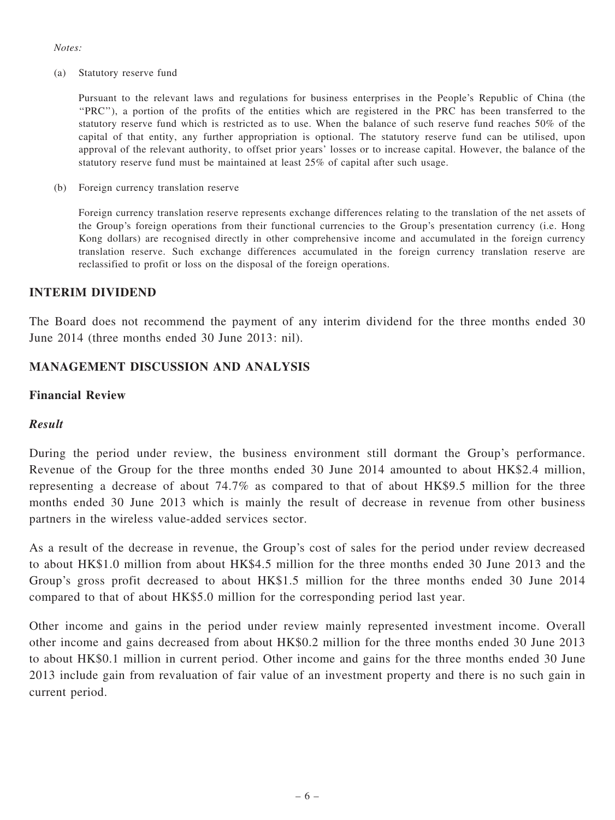#### Notes:

(a) Statutory reserve fund

Pursuant to the relevant laws and regulations for business enterprises in the People's Republic of China (the ''PRC''), a portion of the profits of the entities which are registered in the PRC has been transferred to the statutory reserve fund which is restricted as to use. When the balance of such reserve fund reaches 50% of the capital of that entity, any further appropriation is optional. The statutory reserve fund can be utilised, upon approval of the relevant authority, to offset prior years' losses or to increase capital. However, the balance of the statutory reserve fund must be maintained at least 25% of capital after such usage.

(b) Foreign currency translation reserve

Foreign currency translation reserve represents exchange differences relating to the translation of the net assets of the Group's foreign operations from their functional currencies to the Group's presentation currency (i.e. Hong Kong dollars) are recognised directly in other comprehensive income and accumulated in the foreign currency translation reserve. Such exchange differences accumulated in the foreign currency translation reserve are reclassified to profit or loss on the disposal of the foreign operations.

#### INTERIM DIVIDEND

The Board does not recommend the payment of any interim dividend for the three months ended 30 June 2014 (three months ended 30 June 2013: nil).

#### MANAGEMENT DISCUSSION AND ANALYSIS

#### Financial Review

#### Result

During the period under review, the business environment still dormant the Group's performance. Revenue of the Group for the three months ended 30 June 2014 amounted to about HK\$2.4 million, representing a decrease of about 74.7% as compared to that of about HK\$9.5 million for the three months ended 30 June 2013 which is mainly the result of decrease in revenue from other business partners in the wireless value-added services sector.

As a result of the decrease in revenue, the Group's cost of sales for the period under review decreased to about HK\$1.0 million from about HK\$4.5 million for the three months ended 30 June 2013 and the Group's gross profit decreased to about HK\$1.5 million for the three months ended 30 June 2014 compared to that of about HK\$5.0 million for the corresponding period last year.

Other income and gains in the period under review mainly represented investment income. Overall other income and gains decreased from about HK\$0.2 million for the three months ended 30 June 2013 to about HK\$0.1 million in current period. Other income and gains for the three months ended 30 June 2013 include gain from revaluation of fair value of an investment property and there is no such gain in current period.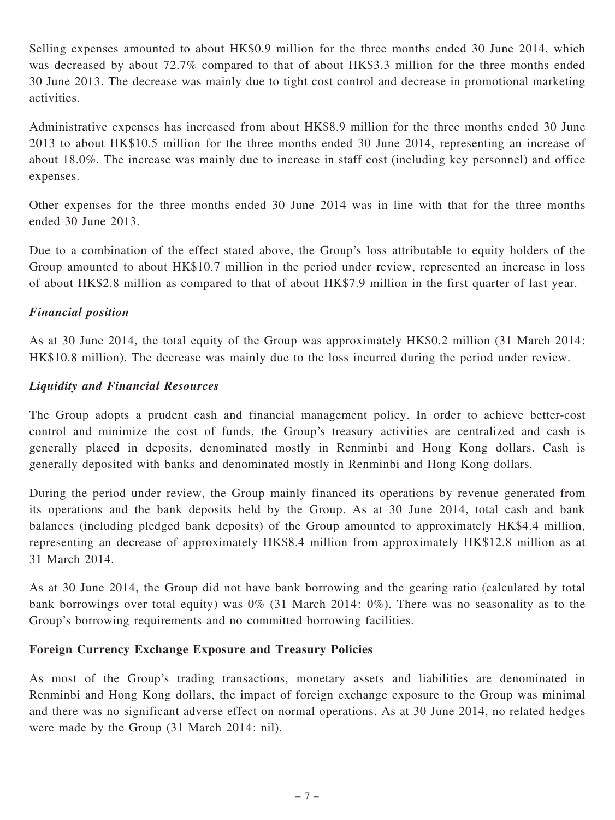Selling expenses amounted to about HK\$0.9 million for the three months ended 30 June 2014, which was decreased by about 72.7% compared to that of about HK\$3.3 million for the three months ended 30 June 2013. The decrease was mainly due to tight cost control and decrease in promotional marketing activities.

Administrative expenses has increased from about HK\$8.9 million for the three months ended 30 June 2013 to about HK\$10.5 million for the three months ended 30 June 2014, representing an increase of about 18.0%. The increase was mainly due to increase in staff cost (including key personnel) and office expenses.

Other expenses for the three months ended 30 June 2014 was in line with that for the three months ended 30 June 2013.

Due to a combination of the effect stated above, the Group's loss attributable to equity holders of the Group amounted to about HK\$10.7 million in the period under review, represented an increase in loss of about HK\$2.8 million as compared to that of about HK\$7.9 million in the first quarter of last year.

## Financial position

As at 30 June 2014, the total equity of the Group was approximately HK\$0.2 million (31 March 2014: HK\$10.8 million). The decrease was mainly due to the loss incurred during the period under review.

## Liquidity and Financial Resources

The Group adopts a prudent cash and financial management policy. In order to achieve better-cost control and minimize the cost of funds, the Group's treasury activities are centralized and cash is generally placed in deposits, denominated mostly in Renminbi and Hong Kong dollars. Cash is generally deposited with banks and denominated mostly in Renminbi and Hong Kong dollars.

During the period under review, the Group mainly financed its operations by revenue generated from its operations and the bank deposits held by the Group. As at 30 June 2014, total cash and bank balances (including pledged bank deposits) of the Group amounted to approximately HK\$4.4 million, representing an decrease of approximately HK\$8.4 million from approximately HK\$12.8 million as at 31 March 2014.

As at 30 June 2014, the Group did not have bank borrowing and the gearing ratio (calculated by total bank borrowings over total equity) was 0% (31 March 2014: 0%). There was no seasonality as to the Group's borrowing requirements and no committed borrowing facilities.

## Foreign Currency Exchange Exposure and Treasury Policies

As most of the Group's trading transactions, monetary assets and liabilities are denominated in Renminbi and Hong Kong dollars, the impact of foreign exchange exposure to the Group was minimal and there was no significant adverse effect on normal operations. As at 30 June 2014, no related hedges were made by the Group (31 March 2014: nil).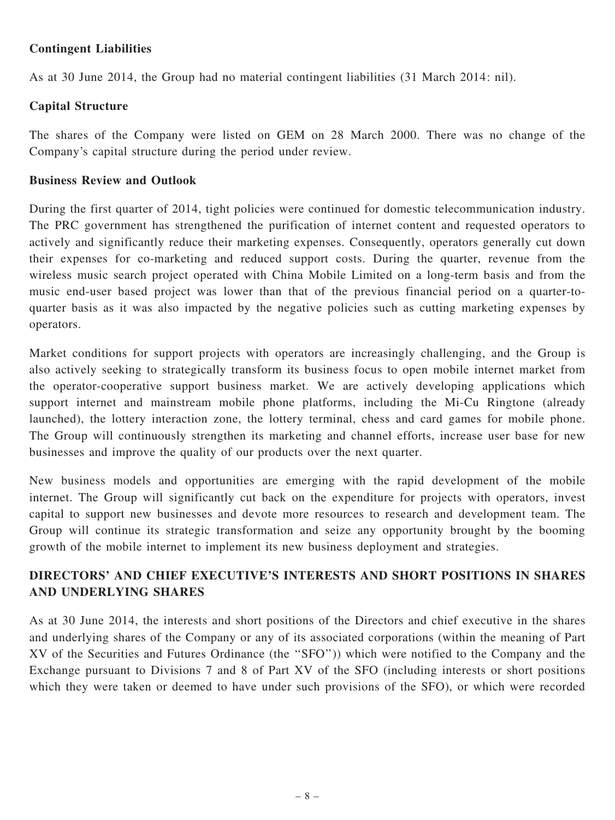## Contingent Liabilities

As at 30 June 2014, the Group had no material contingent liabilities (31 March 2014: nil).

## Capital Structure

The shares of the Company were listed on GEM on 28 March 2000. There was no change of the Company's capital structure during the period under review.

## Business Review and Outlook

During the first quarter of 2014, tight policies were continued for domestic telecommunication industry. The PRC government has strengthened the purification of internet content and requested operators to actively and significantly reduce their marketing expenses. Consequently, operators generally cut down their expenses for co-marketing and reduced support costs. During the quarter, revenue from the wireless music search project operated with China Mobile Limited on a long-term basis and from the music end-user based project was lower than that of the previous financial period on a quarter-toquarter basis as it was also impacted by the negative policies such as cutting marketing expenses by operators.

Market conditions for support projects with operators are increasingly challenging, and the Group is also actively seeking to strategically transform its business focus to open mobile internet market from the operator-cooperative support business market. We are actively developing applications which support internet and mainstream mobile phone platforms, including the Mi-Cu Ringtone (already launched), the lottery interaction zone, the lottery terminal, chess and card games for mobile phone. The Group will continuously strengthen its marketing and channel efforts, increase user base for new businesses and improve the quality of our products over the next quarter.

New business models and opportunities are emerging with the rapid development of the mobile internet. The Group will significantly cut back on the expenditure for projects with operators, invest capital to support new businesses and devote more resources to research and development team. The Group will continue its strategic transformation and seize any opportunity brought by the booming growth of the mobile internet to implement its new business deployment and strategies.

## DIRECTORS' AND CHIEF EXECUTIVE'S INTERESTS AND SHORT POSITIONS IN SHARES AND UNDERLYING SHARES

As at 30 June 2014, the interests and short positions of the Directors and chief executive in the shares and underlying shares of the Company or any of its associated corporations (within the meaning of Part XV of the Securities and Futures Ordinance (the ''SFO'')) which were notified to the Company and the Exchange pursuant to Divisions 7 and 8 of Part XV of the SFO (including interests or short positions which they were taken or deemed to have under such provisions of the SFO), or which were recorded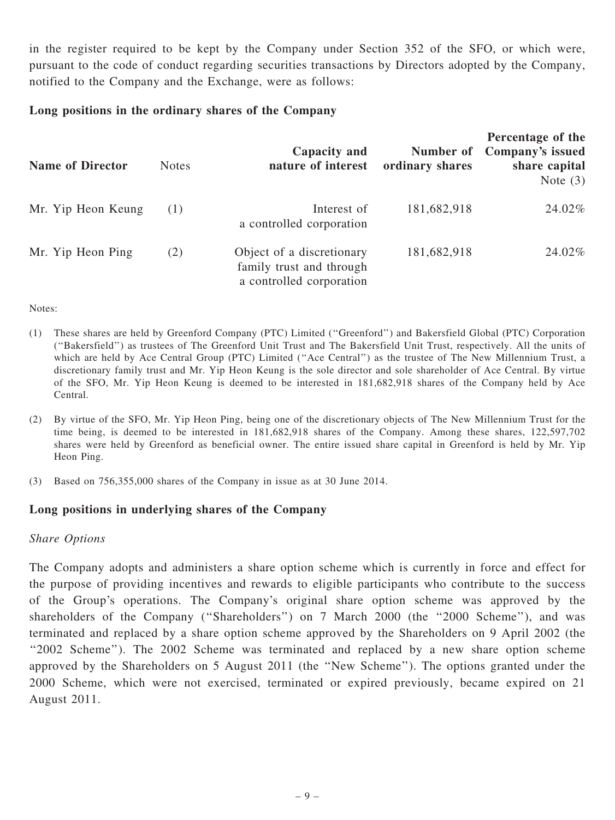in the register required to be kept by the Company under Section 352 of the SFO, or which were, pursuant to the code of conduct regarding securities transactions by Directors adopted by the Company, notified to the Company and the Exchange, were as follows:

#### Long positions in the ordinary shares of the Company

| <b>Name of Director</b> | <b>Notes</b> | Capacity and<br>nature of interest                                                | Number of<br>ordinary shares | Percentage of the<br>Company's issued<br>share capital<br>Note $(3)$ |
|-------------------------|--------------|-----------------------------------------------------------------------------------|------------------------------|----------------------------------------------------------------------|
| Mr. Yip Heon Keung      | (1)          | Interest of<br>a controlled corporation                                           | 181,682,918                  | 24.02%                                                               |
| Mr. Yip Heon Ping       | (2)          | Object of a discretionary<br>family trust and through<br>a controlled corporation | 181,682,918                  | 24.02%                                                               |

Notes:

- (1) These shares are held by Greenford Company (PTC) Limited (''Greenford'') and Bakersfield Global (PTC) Corporation (''Bakersfield'') as trustees of The Greenford Unit Trust and The Bakersfield Unit Trust, respectively. All the units of which are held by Ace Central Group (PTC) Limited ("Ace Central") as the trustee of The New Millennium Trust, a discretionary family trust and Mr. Yip Heon Keung is the sole director and sole shareholder of Ace Central. By virtue of the SFO, Mr. Yip Heon Keung is deemed to be interested in 181,682,918 shares of the Company held by Ace Central.
- (2) By virtue of the SFO, Mr. Yip Heon Ping, being one of the discretionary objects of The New Millennium Trust for the time being, is deemed to be interested in 181,682,918 shares of the Company. Among these shares, 122,597,702 shares were held by Greenford as beneficial owner. The entire issued share capital in Greenford is held by Mr. Yip Heon Ping.
- (3) Based on 756,355,000 shares of the Company in issue as at 30 June 2014.

#### Long positions in underlying shares of the Company

#### Share Options

The Company adopts and administers a share option scheme which is currently in force and effect for the purpose of providing incentives and rewards to eligible participants who contribute to the success of the Group's operations. The Company's original share option scheme was approved by the shareholders of the Company ("Shareholders") on 7 March 2000 (the "2000 Scheme"), and was terminated and replaced by a share option scheme approved by the Shareholders on 9 April 2002 (the "2002 Scheme"). The 2002 Scheme was terminated and replaced by a new share option scheme approved by the Shareholders on 5 August 2011 (the ''New Scheme''). The options granted under the 2000 Scheme, which were not exercised, terminated or expired previously, became expired on 21 August 2011.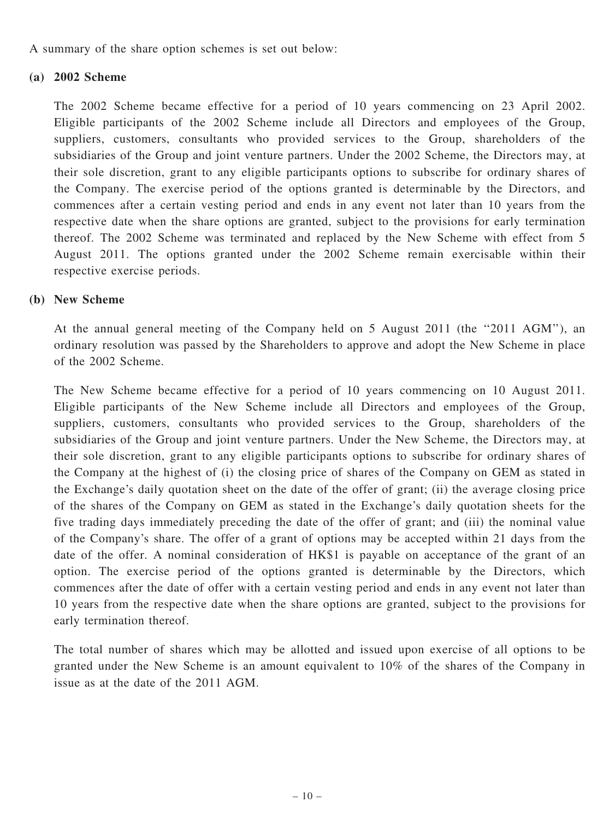A summary of the share option schemes is set out below:

## (a) 2002 Scheme

The 2002 Scheme became effective for a period of 10 years commencing on 23 April 2002. Eligible participants of the 2002 Scheme include all Directors and employees of the Group, suppliers, customers, consultants who provided services to the Group, shareholders of the subsidiaries of the Group and joint venture partners. Under the 2002 Scheme, the Directors may, at their sole discretion, grant to any eligible participants options to subscribe for ordinary shares of the Company. The exercise period of the options granted is determinable by the Directors, and commences after a certain vesting period and ends in any event not later than 10 years from the respective date when the share options are granted, subject to the provisions for early termination thereof. The 2002 Scheme was terminated and replaced by the New Scheme with effect from 5 August 2011. The options granted under the 2002 Scheme remain exercisable within their respective exercise periods.

## (b) New Scheme

At the annual general meeting of the Company held on 5 August 2011 (the ''2011 AGM''), an ordinary resolution was passed by the Shareholders to approve and adopt the New Scheme in place of the 2002 Scheme.

The New Scheme became effective for a period of 10 years commencing on 10 August 2011. Eligible participants of the New Scheme include all Directors and employees of the Group, suppliers, customers, consultants who provided services to the Group, shareholders of the subsidiaries of the Group and joint venture partners. Under the New Scheme, the Directors may, at their sole discretion, grant to any eligible participants options to subscribe for ordinary shares of the Company at the highest of (i) the closing price of shares of the Company on GEM as stated in the Exchange's daily quotation sheet on the date of the offer of grant; (ii) the average closing price of the shares of the Company on GEM as stated in the Exchange's daily quotation sheets for the five trading days immediately preceding the date of the offer of grant; and (iii) the nominal value of the Company's share. The offer of a grant of options may be accepted within 21 days from the date of the offer. A nominal consideration of HK\$1 is payable on acceptance of the grant of an option. The exercise period of the options granted is determinable by the Directors, which commences after the date of offer with a certain vesting period and ends in any event not later than 10 years from the respective date when the share options are granted, subject to the provisions for early termination thereof.

The total number of shares which may be allotted and issued upon exercise of all options to be granted under the New Scheme is an amount equivalent to 10% of the shares of the Company in issue as at the date of the 2011 AGM.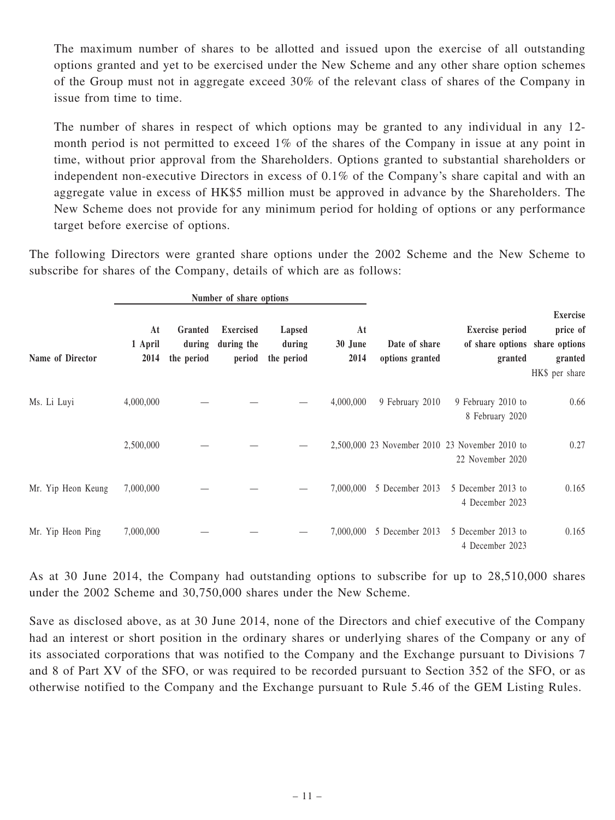The maximum number of shares to be allotted and issued upon the exercise of all outstanding options granted and yet to be exercised under the New Scheme and any other share option schemes of the Group must not in aggregate exceed 30% of the relevant class of shares of the Company in issue from time to time.

The number of shares in respect of which options may be granted to any individual in any 12 month period is not permitted to exceed 1% of the shares of the Company in issue at any point in time, without prior approval from the Shareholders. Options granted to substantial shareholders or independent non-executive Directors in excess of 0.1% of the Company's share capital and with an aggregate value in excess of HK\$5 million must be approved in advance by the Shareholders. The New Scheme does not provide for any minimum period for holding of options or any performance target before exercise of options.

The following Directors were granted share options under the 2002 Scheme and the New Scheme to subscribe for shares of the Company, details of which are as follows:

|                    |                       |                                 | Number of share options                  |                                |                       |                                  |                                                                     |                                                          |
|--------------------|-----------------------|---------------------------------|------------------------------------------|--------------------------------|-----------------------|----------------------------------|---------------------------------------------------------------------|----------------------------------------------------------|
| Name of Director   | At<br>1 April<br>2014 | Granted<br>during<br>the period | <b>Exercised</b><br>during the<br>period | Lapsed<br>during<br>the period | At<br>30 June<br>2014 | Date of share<br>options granted | <b>Exercise</b> period<br>of share options share options<br>granted | <b>Exercise</b><br>price of<br>granted<br>HK\$ per share |
| Ms. Li Luyi        | 4,000,000             |                                 |                                          |                                | 4,000,000             | 9 February 2010                  | 9 February 2010 to<br>8 February 2020                               | 0.66                                                     |
|                    | 2,500,000             |                                 |                                          |                                |                       |                                  | 2,500,000 23 November 2010 23 November 2010 to<br>22 November 2020  | 0.27                                                     |
| Mr. Yip Heon Keung | 7,000,000             |                                 |                                          |                                | 7,000,000             | 5 December 2013                  | 5 December 2013 to<br>4 December 2023                               | 0.165                                                    |
| Mr. Yip Heon Ping  | 7,000,000             |                                 |                                          |                                | 7,000,000             | 5 December 2013                  | 5 December 2013 to<br>4 December 2023                               | 0.165                                                    |

As at 30 June 2014, the Company had outstanding options to subscribe for up to 28,510,000 shares under the 2002 Scheme and 30,750,000 shares under the New Scheme.

Save as disclosed above, as at 30 June 2014, none of the Directors and chief executive of the Company had an interest or short position in the ordinary shares or underlying shares of the Company or any of its associated corporations that was notified to the Company and the Exchange pursuant to Divisions 7 and 8 of Part XV of the SFO, or was required to be recorded pursuant to Section 352 of the SFO, or as otherwise notified to the Company and the Exchange pursuant to Rule 5.46 of the GEM Listing Rules.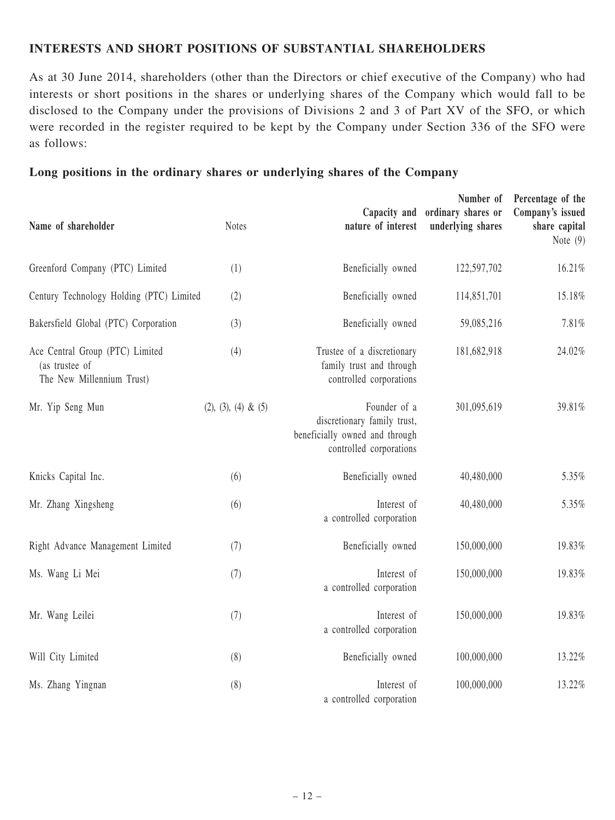#### INTERESTS AND SHORT POSITIONS OF SUBSTANTIAL SHAREHOLDERS

As at 30 June 2014, shareholders (other than the Directors or chief executive of the Company) who had interests or short positions in the shares or underlying shares of the Company which would fall to be disclosed to the Company under the provisions of Divisions 2 and 3 of Part XV of the SFO, or which were recorded in the register required to be kept by the Company under Section 336 of the SFO were as follows:

#### Long positions in the ordinary shares or underlying shares of the Company

| Name of shareholder                                                            | <b>Notes</b>           | Capacity and<br>nature of interest                                                                       | Number of<br>ordinary shares or<br>underlying shares | Percentage of the<br>Company's issued<br>share capital<br>Note $(9)$ |
|--------------------------------------------------------------------------------|------------------------|----------------------------------------------------------------------------------------------------------|------------------------------------------------------|----------------------------------------------------------------------|
| Greenford Company (PTC) Limited                                                | (1)                    | Beneficially owned                                                                                       | 122,597,702                                          | 16.21%                                                               |
| Century Technology Holding (PTC) Limited                                       | (2)                    | Beneficially owned                                                                                       | 114,851,701                                          | 15.18%                                                               |
| Bakersfield Global (PTC) Corporation                                           | (3)                    | Beneficially owned                                                                                       | 59,085,216                                           | 7.81%                                                                |
| Ace Central Group (PTC) Limited<br>(as trustee of<br>The New Millennium Trust) | (4)                    | Trustee of a discretionary<br>family trust and through<br>controlled corporations                        | 181,682,918                                          | 24.02%                                                               |
| Mr. Yip Seng Mun                                                               | $(2), (3), (4) \& (5)$ | Founder of a<br>discretionary family trust,<br>beneficially owned and through<br>controlled corporations | 301,095,619                                          | 39.81%                                                               |
| Knicks Capital Inc.                                                            | (6)                    | Beneficially owned                                                                                       | 40,480,000                                           | 5.35%                                                                |
| Mr. Zhang Xingsheng                                                            | (6)                    | Interest of<br>a controlled corporation                                                                  | 40,480,000                                           | 5.35%                                                                |
| Right Advance Management Limited                                               | (7)                    | Beneficially owned                                                                                       | 150,000,000                                          | 19.83%                                                               |
| Ms. Wang Li Mei                                                                | (7)                    | Interest of<br>a controlled corporation                                                                  | 150,000,000                                          | 19.83%                                                               |
| Mr. Wang Leilei                                                                | (7)                    | Interest of<br>a controlled corporation                                                                  | 150,000,000                                          | 19.83%                                                               |
| Will City Limited                                                              | (8)                    | Beneficially owned                                                                                       | 100,000,000                                          | 13.22%                                                               |
| Ms. Zhang Yingnan                                                              | (8)                    | Interest of<br>a controlled corporation                                                                  | 100,000,000                                          | 13.22%                                                               |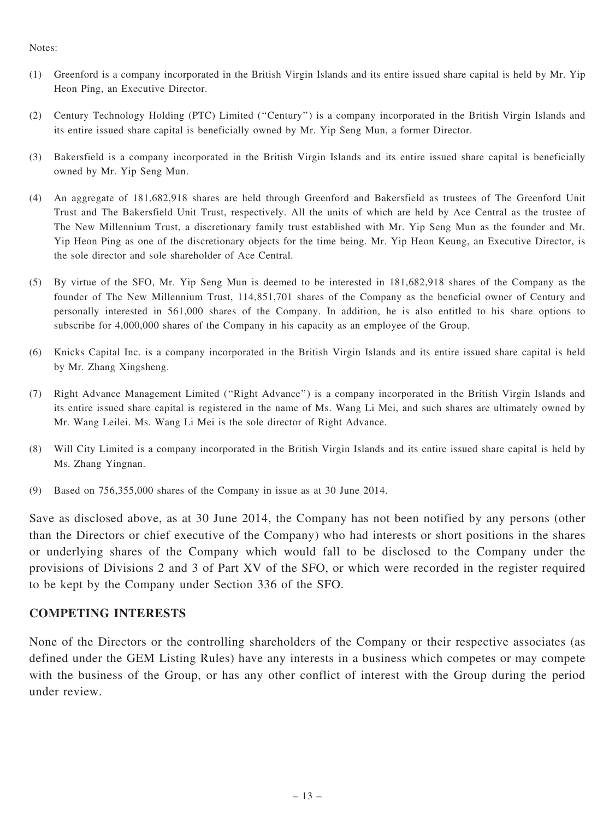#### Notes:

- (1) Greenford is a company incorporated in the British Virgin Islands and its entire issued share capital is held by Mr. Yip Heon Ping, an Executive Director.
- (2) Century Technology Holding (PTC) Limited (''Century'') is a company incorporated in the British Virgin Islands and its entire issued share capital is beneficially owned by Mr. Yip Seng Mun, a former Director.
- (3) Bakersfield is a company incorporated in the British Virgin Islands and its entire issued share capital is beneficially owned by Mr. Yip Seng Mun.
- (4) An aggregate of 181,682,918 shares are held through Greenford and Bakersfield as trustees of The Greenford Unit Trust and The Bakersfield Unit Trust, respectively. All the units of which are held by Ace Central as the trustee of The New Millennium Trust, a discretionary family trust established with Mr. Yip Seng Mun as the founder and Mr. Yip Heon Ping as one of the discretionary objects for the time being. Mr. Yip Heon Keung, an Executive Director, is the sole director and sole shareholder of Ace Central.
- (5) By virtue of the SFO, Mr. Yip Seng Mun is deemed to be interested in 181,682,918 shares of the Company as the founder of The New Millennium Trust, 114,851,701 shares of the Company as the beneficial owner of Century and personally interested in 561,000 shares of the Company. In addition, he is also entitled to his share options to subscribe for 4,000,000 shares of the Company in his capacity as an employee of the Group.
- (6) Knicks Capital Inc. is a company incorporated in the British Virgin Islands and its entire issued share capital is held by Mr. Zhang Xingsheng.
- (7) Right Advance Management Limited (''Right Advance'') is a company incorporated in the British Virgin Islands and its entire issued share capital is registered in the name of Ms. Wang Li Mei, and such shares are ultimately owned by Mr. Wang Leilei. Ms. Wang Li Mei is the sole director of Right Advance.
- (8) Will City Limited is a company incorporated in the British Virgin Islands and its entire issued share capital is held by Ms. Zhang Yingnan.
- (9) Based on 756,355,000 shares of the Company in issue as at 30 June 2014.

Save as disclosed above, as at 30 June 2014, the Company has not been notified by any persons (other than the Directors or chief executive of the Company) who had interests or short positions in the shares or underlying shares of the Company which would fall to be disclosed to the Company under the provisions of Divisions 2 and 3 of Part XV of the SFO, or which were recorded in the register required to be kept by the Company under Section 336 of the SFO.

#### COMPETING INTERESTS

None of the Directors or the controlling shareholders of the Company or their respective associates (as defined under the GEM Listing Rules) have any interests in a business which competes or may compete with the business of the Group, or has any other conflict of interest with the Group during the period under review.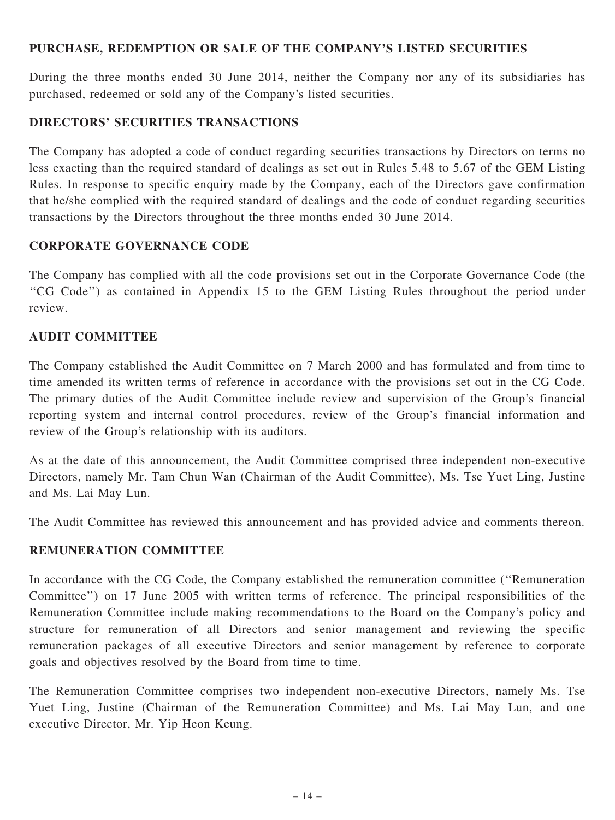#### PURCHASE, REDEMPTION OR SALE OF THE COMPANY'S LISTED SECURITIES

During the three months ended 30 June 2014, neither the Company nor any of its subsidiaries has purchased, redeemed or sold any of the Company's listed securities.

#### DIRECTORS' SECURITIES TRANSACTIONS

The Company has adopted a code of conduct regarding securities transactions by Directors on terms no less exacting than the required standard of dealings as set out in Rules 5.48 to 5.67 of the GEM Listing Rules. In response to specific enquiry made by the Company, each of the Directors gave confirmation that he/she complied with the required standard of dealings and the code of conduct regarding securities transactions by the Directors throughout the three months ended 30 June 2014.

#### CORPORATE GOVERNANCE CODE

The Company has complied with all the code provisions set out in the Corporate Governance Code (the ''CG Code'') as contained in Appendix 15 to the GEM Listing Rules throughout the period under review.

#### AUDIT COMMITTEE

The Company established the Audit Committee on 7 March 2000 and has formulated and from time to time amended its written terms of reference in accordance with the provisions set out in the CG Code. The primary duties of the Audit Committee include review and supervision of the Group's financial reporting system and internal control procedures, review of the Group's financial information and review of the Group's relationship with its auditors.

As at the date of this announcement, the Audit Committee comprised three independent non-executive Directors, namely Mr. Tam Chun Wan (Chairman of the Audit Committee), Ms. Tse Yuet Ling, Justine and Ms. Lai May Lun.

The Audit Committee has reviewed this announcement and has provided advice and comments thereon.

## REMUNERATION COMMITTEE

In accordance with the CG Code, the Company established the remuneration committee (''Remuneration Committee'') on 17 June 2005 with written terms of reference. The principal responsibilities of the Remuneration Committee include making recommendations to the Board on the Company's policy and structure for remuneration of all Directors and senior management and reviewing the specific remuneration packages of all executive Directors and senior management by reference to corporate goals and objectives resolved by the Board from time to time.

The Remuneration Committee comprises two independent non-executive Directors, namely Ms. Tse Yuet Ling, Justine (Chairman of the Remuneration Committee) and Ms. Lai May Lun, and one executive Director, Mr. Yip Heon Keung.